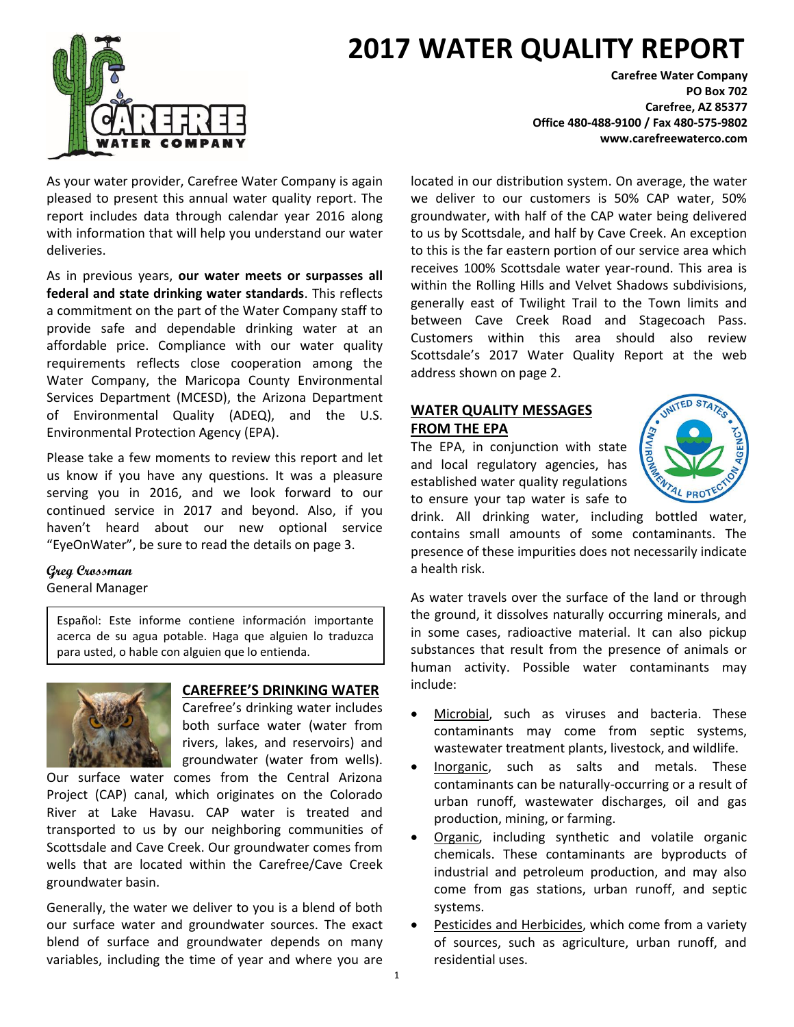# **2017 WATER QUALITY REPORT**



As your water provider, Carefree Water Company is again pleased to present this annual water quality report. The report includes data through calendar year 2016 along with information that will help you understand our water deliveries.

As in previous years, **our water meets or surpasses all federal and state drinking water standards**. This reflects a commitment on the part of the Water Company staff to provide safe and dependable drinking water at an affordable price. Compliance with our water quality requirements reflects close cooperation among the Water Company, the Maricopa County Environmental Services Department (MCESD), the Arizona Department of Environmental Quality (ADEQ), and the U.S. Environmental Protection Agency (EPA).

Please take a few moments to review this report and let us know if you have any questions. It was a pleasure serving you in 2016, and we look forward to our continued service in 2017 and beyond. Also, if you haven't heard about our new optional service "EyeOnWater", be sure to read the details on page 3.

#### **Greg Crossman** General Manager

Español: Este informe contiene información importante acerca de su agua potable. Haga que alguien lo traduzca

para usted, o hable con alguien que lo entienda.



#### **CAREFREE'S DRINKING WATER**

Carefree's drinking water includes both surface water (water from rivers, lakes, and reservoirs) and groundwater (water from wells).

Our surface water comes from the Central Arizona Project (CAP) canal, which originates on the Colorado River at Lake Havasu. CAP water is treated and transported to us by our neighboring communities of Scottsdale and Cave Creek. Our groundwater comes from wells that are located within the Carefree/Cave Creek groundwater basin.

Generally, the water we deliver to you is a blend of both our surface water and groundwater sources. The exact blend of surface and groundwater depends on many variables, including the time of year and where you are

**Carefree Water Company PO Box 702 Carefree, AZ 85377 Office 480-488-9100 / Fax 480-575-9802 www.carefreewaterco.com**

located in our distribution system. On average, the water we deliver to our customers is 50% CAP water, 50% groundwater, with half of the CAP water being delivered to us by Scottsdale, and half by Cave Creek. An exception to this is the far eastern portion of our service area which receives 100% Scottsdale water year-round. This area is within the Rolling Hills and Velvet Shadows subdivisions, generally east of Twilight Trail to the Town limits and between Cave Creek Road and Stagecoach Pass. Customers within this area should also review Scottsdale's 2017 Water Quality Report at the web address shown on page 2.

#### **WATER QUALITY MESSAGES FROM THE EPA**

The EPA, in conjunction with state and local regulatory agencies, has established water quality regulations to ensure your tap water is safe to



drink. All drinking water, including bottled water, contains small amounts of some contaminants. The presence of these impurities does not necessarily indicate a health risk.

As water travels over the surface of the land or through the ground, it dissolves naturally occurring minerals, and in some cases, radioactive material. It can also pickup substances that result from the presence of animals or human activity. Possible water contaminants may include:

- Microbial, such as viruses and bacteria. These contaminants may come from septic systems, wastewater treatment plants, livestock, and wildlife.
- Inorganic, such as salts and metals. These contaminants can be naturally-occurring or a result of urban runoff, wastewater discharges, oil and gas production, mining, or farming.
- Organic, including synthetic and volatile organic chemicals. These contaminants are byproducts of industrial and petroleum production, and may also come from gas stations, urban runoff, and septic systems.
- Pesticides and Herbicides, which come from a variety of sources, such as agriculture, urban runoff, and residential uses.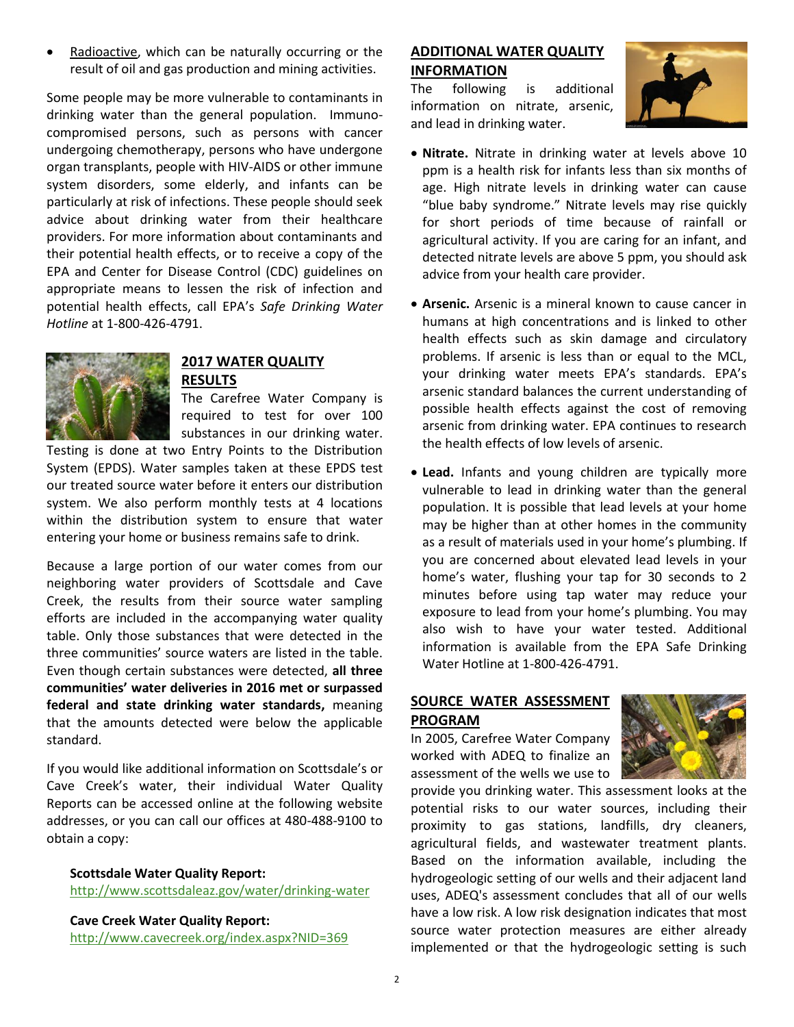Radioactive, which can be naturally occurring or the result of oil and gas production and mining activities.

Some people may be more vulnerable to contaminants in drinking water than the general population. Immunocompromised persons, such as persons with cancer undergoing chemotherapy, persons who have undergone organ transplants, people with HIV-AIDS or other immune system disorders, some elderly, and infants can be particularly at risk of infections. These people should seek advice about drinking water from their healthcare providers. For more information about contaminants and their potential health effects, or to receive a copy of the EPA and Center for Disease Control (CDC) guidelines on appropriate means to lessen the risk of infection and potential health effects, call EPA's *Safe Drinking Water Hotline* at 1-800-426-4791.



### **2017 WATER QUALITY RESULTS**

The Carefree Water Company is required to test for over 100 substances in our drinking water.

Testing is done at two Entry Points to the Distribution System (EPDS). Water samples taken at these EPDS test our treated source water before it enters our distribution system. We also perform monthly tests at 4 locations within the distribution system to ensure that water entering your home or business remains safe to drink.

Because a large portion of our water comes from our neighboring water providers of Scottsdale and Cave Creek, the results from their source water sampling efforts are included in the accompanying water quality table. Only those substances that were detected in the three communities' source waters are listed in the table. Even though certain substances were detected, **all three communities' water deliveries in 2016 met or surpassed federal and state drinking water standards,** meaning that the amounts detected were below the applicable standard.

If you would like additional information on Scottsdale's or Cave Creek's water, their individual Water Quality Reports can be accessed online at the following website addresses, or you can call our offices at 480-488-9100 to obtain a copy:

**Scottsdale Water Quality Report:**

<http://www.scottsdaleaz.gov/water/drinking-water>

**Cave Creek Water Quality Report:** <http://www.cavecreek.org/index.aspx?NID=369>

### **ADDITIONAL WATER QUALITY INFORMATION**

The following is additional information on nitrate, arsenic, and lead in drinking water.



- **Nitrate.** Nitrate in drinking water at levels above 10 ppm is a health risk for infants less than six months of age. High nitrate levels in drinking water can cause "blue baby syndrome." Nitrate levels may rise quickly for short periods of time because of rainfall or agricultural activity. If you are caring for an infant, and detected nitrate levels are above 5 ppm, you should ask advice from your health care provider.
- **Arsenic.** Arsenic is a mineral known to cause cancer in humans at high concentrations and is linked to other health effects such as skin damage and circulatory problems. If arsenic is less than or equal to the MCL, your drinking water meets EPA's standards. EPA's arsenic standard balances the current understanding of possible health effects against the cost of removing arsenic from drinking water. EPA continues to research the health effects of low levels of arsenic.
- **Lead.** Infants and young children are typically more vulnerable to lead in drinking water than the general population. It is possible that lead levels at your home may be higher than at other homes in the community as a result of materials used in your home's plumbing. If you are concerned about elevated lead levels in your home's water, flushing your tap for 30 seconds to 2 minutes before using tap water may reduce your exposure to lead from your home's plumbing. You may also wish to have your water tested. Additional information is available from the EPA Safe Drinking Water Hotline at 1-800-426-4791.

## **SOURCE WATER ASSESSMENT PROGRAM**

In 2005, Carefree Water Company worked with ADEQ to finalize an assessment of the wells we use to



provide you drinking water. This assessment looks at the potential risks to our water sources, including their proximity to gas stations, landfills, dry cleaners, agricultural fields, and wastewater treatment plants. Based on the information available, including the hydrogeologic setting of our wells and their adjacent land uses, ADEQ's assessment concludes that all of our wells have a low risk. A low risk designation indicates that most source water protection measures are either already implemented or that the hydrogeologic setting is such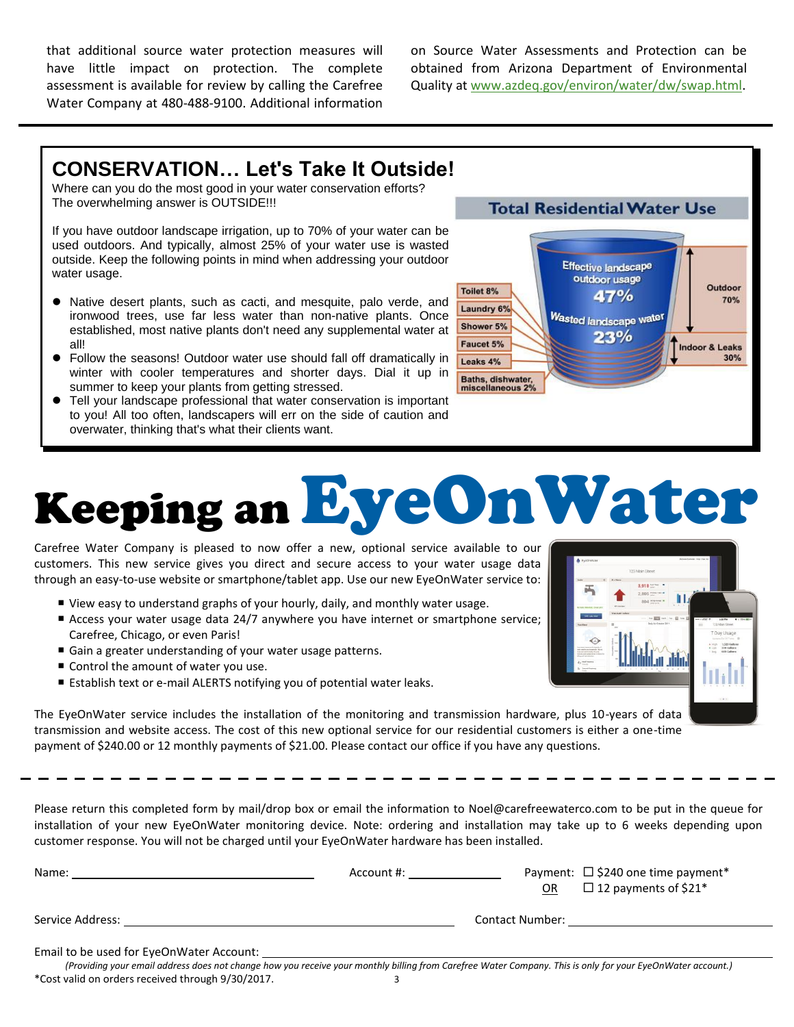that additional source water protection measures will have little impact on protection. The complete assessment is available for review by calling the Carefree Water Company at 480-488-9100. Additional information

on Source Water Assessments and Protection can be obtained from Arizona Department of Environmental Quality at [www.azdeq.gov/environ/water/dw/swap.html.](http://www.azdeq.gov/environ/water/dw/swap.html)

# **CONSERVATION… Let's Take It Outside!**

Where can you do the most good in your water conservation efforts? The overwhelming answer is OUTSIDE!!!

If you have outdoor landscape irrigation, up to 70% of your water can be used outdoors. And typically, almost 25% of your water use is wasted outside. Keep the following points in mind when addressing your outdoor water usage.

- Native desert plants, such as cacti, and mesquite, palo verde, and ironwood trees, use far less water than non-native plants. Once established, most native plants don't need any supplemental water at all!
- Follow the seasons! Outdoor water use should fall off dramatically in winter with cooler temperatures and shorter days. Dial it up in summer to keep your plants from getting stressed.
- Tell your landscape professional that water conservation is important to you! All too often, landscapers will err on the side of caution and overwater, thinking that's what their clients want.



# Keeping anEyeOnWater

Carefree Water Company is pleased to now offer a new, optional service available to our customers. This new service gives you direct and secure access to your water usage data through an easy-to-use website or smartphone/tablet app. Use our new EyeOnWater service to:

- View easy to understand graphs of your hourly, daily, and monthly water usage.
- Access your water usage data 24/7 anywhere you have internet or smartphone service; Carefree, Chicago, or even Paris!
- Gain a greater understanding of your water usage patterns.
- Control the amount of water you use.
- Establish text or e-mail ALERTS notifying you of potential water leaks.

The EyeOnWater service includes the installation of the monitoring and transmission hardware, plus 10-years of data transmission and website access. The cost of this new optional service for our residential customers is either a one-time payment of \$240.00 or 12 monthly payments of \$21.00. Please contact our office if you have any questions.

Please return this completed form by mail/drop box or email the information to Noel@carefreewaterco.com to be put in the queue for installation of your new EyeOnWater monitoring device. Note: ordering and installation may take up to 6 weeks depending upon customer response. You will not be charged until your EyeOnWater hardware has been installed.

| Name:                                    | Account #: | Payment: $\Box$ \$240 one time payment*<br>$\Box$ 12 payments of \$21*<br>OR. |  |
|------------------------------------------|------------|-------------------------------------------------------------------------------|--|
| Service Address:                         |            | Contact Number:                                                               |  |
| Email to be used for EyeOnWater Account: |            |                                                                               |  |

3 *(Providing your email address does not change how you receive your monthly billing from Carefree Water Company. This is only for your EyeOnWater account.)* \*Cost valid on orders received through 9/30/2017.